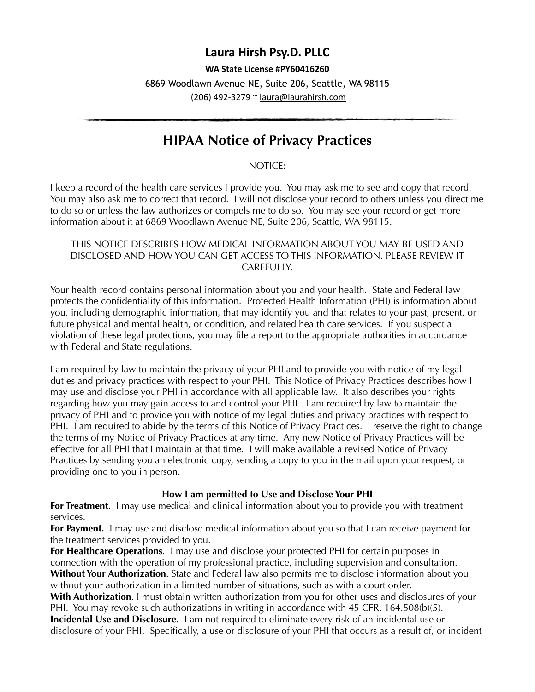# **Laura Hirsh Psy.D. PLLC**

#### **WA State License #PY60416260**

6869 Woodlawn Avenue NE, Suite 206, Seattle, WA 98115 (206) 492-3279 ~ [laura@laurahirsh.com](mailto:laura@laurahirsh.com)

# **HIPAA Notice of Privacy Practices**

NOTICE:

I keep a record of the health care services I provide you. You may ask me to see and copy that record. You may also ask me to correct that record. I will not disclose your record to others unless you direct me to do so or unless the law authorizes or compels me to do so. You may see your record or get more information about it at 6869 Woodlawn Avenue NE, Suite 206, Seattle, WA 98115.

#### THIS NOTICE DESCRIBES HOW MEDICAL INFORMATION ABOUT YOU MAY BE USED AND DISCLOSED AND HOW YOU CAN GET ACCESS TO THIS INFORMATION. PLEASE REVIEW IT CAREFULLY.

Your health record contains personal information about you and your health. State and Federal law protects the confidentiality of this information. Protected Health Information (PHI) is information about you, including demographic information, that may identify you and that relates to your past, present, or future physical and mental health, or condition, and related health care services. If you suspect a violation of these legal protections, you may file a report to the appropriate authorities in accordance with Federal and State regulations.

I am required by law to maintain the privacy of your PHI and to provide you with notice of my legal duties and privacy practices with respect to your PHI. This Notice of Privacy Practices describes how I may use and disclose your PHI in accordance with all applicable law. It also describes your rights regarding how you may gain access to and control your PHI. I am required by law to maintain the privacy of PHI and to provide you with notice of my legal duties and privacy practices with respect to PHI. I am required to abide by the terms of this Notice of Privacy Practices. I reserve the right to change the terms of my Notice of Privacy Practices at any time. Any new Notice of Privacy Practices will be effective for all PHI that I maintain at that time. I will make available a revised Notice of Privacy Practices by sending you an electronic copy, sending a copy to you in the mail upon your request, or providing one to you in person.

# **How I am permitted to Use and Disclose Your PHI**

**For Treatment.** I may use medical and clinical information about you to provide you with treatment services.

**For Payment.** I may use and disclose medical information about you so that I can receive payment for the treatment services provided to you.

**For Healthcare Operations**. I may use and disclose your protected PHI for certain purposes in connection with the operation of my professional practice, including supervision and consultation. **Without Your Authorization**. State and Federal law also permits me to disclose information about you without your authorization in a limited number of situations, such as with a court order.

**With Authorization**. I must obtain written authorization from you for other uses and disclosures of your PHI. You may revoke such authorizations in writing in accordance with 45 CFR. 164.508(b)(5).

**Incidental Use and Disclosure.** I am not required to eliminate every risk of an incidental use or disclosure of your PHI. Specifically, a use or disclosure of your PHI that occurs as a result of, or incident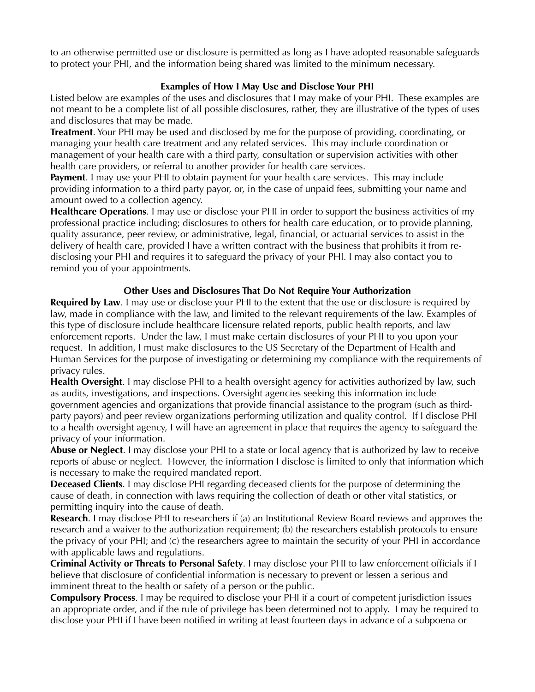to an otherwise permitted use or disclosure is permitted as long as I have adopted reasonable safeguards to protect your PHI, and the information being shared was limited to the minimum necessary.

## **Examples of How I May Use and Disclose Your PHI**

Listed below are examples of the uses and disclosures that I may make of your PHI. These examples are not meant to be a complete list of all possible disclosures, rather, they are illustrative of the types of uses and disclosures that may be made.

**Treatment**. Your PHI may be used and disclosed by me for the purpose of providing, coordinating, or managing your health care treatment and any related services. This may include coordination or management of your health care with a third party, consultation or supervision activities with other health care providers, or referral to another provider for health care services.

**Payment**. I may use your PHI to obtain payment for your health care services. This may include providing information to a third party payor, or, in the case of unpaid fees, submitting your name and amount owed to a collection agency.

**Healthcare Operations**. I may use or disclose your PHI in order to support the business activities of my professional practice including; disclosures to others for health care education, or to provide planning, quality assurance, peer review, or administrative, legal, financial, or actuarial services to assist in the delivery of health care, provided I have a written contract with the business that prohibits it from redisclosing your PHI and requires it to safeguard the privacy of your PHI. I may also contact you to remind you of your appointments.

### **Other Uses and Disclosures That Do Not Require Your Authorization**

**Required by Law**. I may use or disclose your PHI to the extent that the use or disclosure is required by law, made in compliance with the law, and limited to the relevant requirements of the law. Examples of this type of disclosure include healthcare licensure related reports, public health reports, and law enforcement reports. Under the law, I must make certain disclosures of your PHI to you upon your request. In addition, I must make disclosures to the US Secretary of the Department of Health and Human Services for the purpose of investigating or determining my compliance with the requirements of privacy rules.

**Health Oversight**. I may disclose PHI to a health oversight agency for activities authorized by law, such as audits, investigations, and inspections. Oversight agencies seeking this information include government agencies and organizations that provide financial assistance to the program (such as thirdparty payors) and peer review organizations performing utilization and quality control. If I disclose PHI to a health oversight agency, I will have an agreement in place that requires the agency to safeguard the privacy of your information.

**Abuse or Neglect**. I may disclose your PHI to a state or local agency that is authorized by law to receive reports of abuse or neglect. However, the information I disclose is limited to only that information which is necessary to make the required mandated report.

**Deceased Clients**. I may disclose PHI regarding deceased clients for the purpose of determining the cause of death, in connection with laws requiring the collection of death or other vital statistics, or permitting inquiry into the cause of death.

**Research**. I may disclose PHI to researchers if (a) an Institutional Review Board reviews and approves the research and a waiver to the authorization requirement; (b) the researchers establish protocols to ensure the privacy of your PHI; and (c) the researchers agree to maintain the security of your PHI in accordance with applicable laws and regulations.

**Criminal Activity or Threats to Personal Safety**. I may disclose your PHI to law enforcement officials if I believe that disclosure of confidential information is necessary to prevent or lessen a serious and imminent threat to the health or safety of a person or the public.

**Compulsory Process**. I may be required to disclose your PHI if a court of competent jurisdiction issues an appropriate order, and if the rule of privilege has been determined not to apply. I may be required to disclose your PHI if I have been notified in writing at least fourteen days in advance of a subpoena or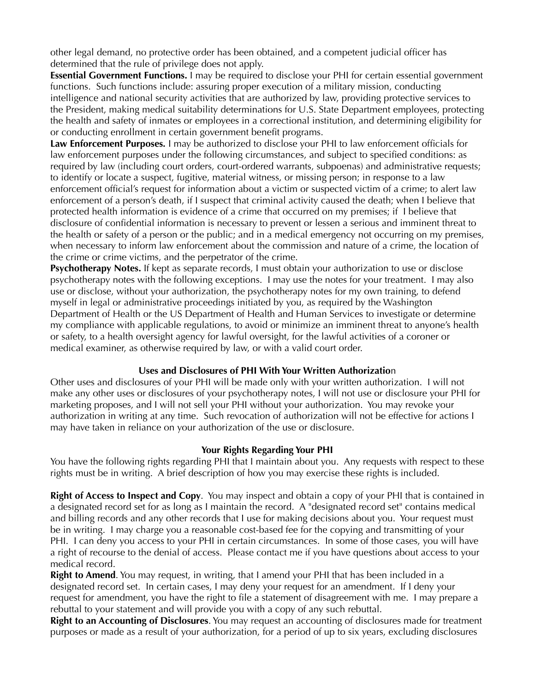other legal demand, no protective order has been obtained, and a competent judicial officer has determined that the rule of privilege does not apply.

**Essential Government Functions.** I may be required to disclose your PHI for certain essential government functions. Such functions include: assuring proper execution of a military mission, conducting intelligence and national security activities that are authorized by law, providing protective services to the President, making medical suitability determinations for U.S. State Department employees, protecting the health and safety of inmates or employees in a correctional institution, and determining eligibility for or conducting enrollment in certain government benefit programs.

**Law Enforcement Purposes***.* I may be authorized to disclose your PHI to law enforcement officials for law enforcement purposes under the following circumstances, and subject to specified conditions: as required by law (including court orders, court-ordered warrants, subpoenas) and administrative requests; to identify or locate a suspect, fugitive, material witness, or missing person; in response to a law enforcement official's request for information about a victim or suspected victim of a crime; to alert law enforcement of a person's death, if I suspect that criminal activity caused the death; when I believe that protected health information is evidence of a crime that occurred on my premises; if I believe that disclosure of confidential information is necessary to prevent or lessen a serious and imminent threat to the health or safety of a person or the public; and in a medical emergency not occurring on my premises, when necessary to inform law enforcement about the commission and nature of a crime, the location of the crime or crime victims, and the perpetrator of the crime.

**Psychotherapy Notes.** If kept as separate records, I must obtain your authorization to use or disclose psychotherapy notes with the following exceptions. I may use the notes for your treatment. I may also use or disclose, without your authorization, the psychotherapy notes for my own training, to defend myself in legal or administrative proceedings initiated by you, as required by the Washington Department of Health or the US Department of Health and Human Services to investigate or determine my compliance with applicable regulations, to avoid or minimize an imminent threat to anyone's health or safety, to a health oversight agency for lawful oversight, for the lawful activities of a coroner or medical examiner, as otherwise required by law, or with a valid court order.

#### **Uses and Disclosures of PHI With Your Written Authorizatio**n

Other uses and disclosures of your PHI will be made only with your written authorization. I will not make any other uses or disclosures of your psychotherapy notes, I will not use or disclosure your PHI for marketing proposes, and I will not sell your PHI without your authorization. You may revoke your authorization in writing at any time. Such revocation of authorization will not be effective for actions I may have taken in reliance on your authorization of the use or disclosure.

#### **Your Rights Regarding Your PHI**

You have the following rights regarding PHI that I maintain about you. Any requests with respect to these rights must be in writing. A brief description of how you may exercise these rights is included.

**Right of Access to Inspect and Copy**. You may inspect and obtain a copy of your PHI that is contained in a designated record set for as long as I maintain the record. A "designated record set" contains medical and billing records and any other records that I use for making decisions about you. Your request must be in writing. I may charge you a reasonable cost-based fee for the copying and transmitting of your PHI. I can deny you access to your PHI in certain circumstances. In some of those cases, you will have a right of recourse to the denial of access. Please contact me if you have questions about access to your medical record.

**Right to Amend**. You may request, in writing, that I amend your PHI that has been included in a designated record set. In certain cases, I may deny your request for an amendment. If I deny your request for amendment, you have the right to file a statement of disagreement with me. I may prepare a rebuttal to your statement and will provide you with a copy of any such rebuttal.

**Right to an Accounting of Disclosures**. You may request an accounting of disclosures made for treatment purposes or made as a result of your authorization, for a period of up to six years, excluding disclosures